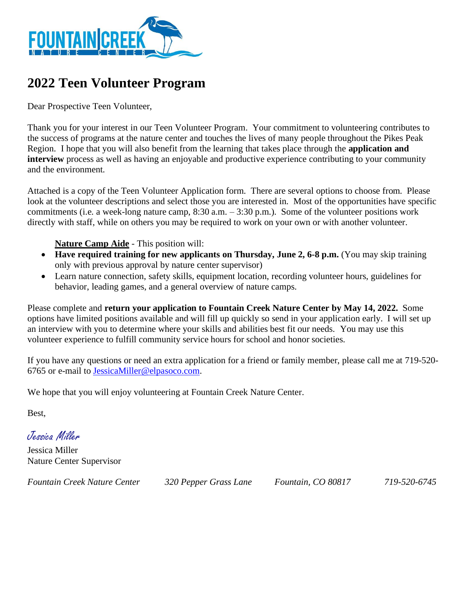

## **2022 Teen Volunteer Program**

Dear Prospective Teen Volunteer,

Thank you for your interest in our Teen Volunteer Program. Your commitment to volunteering contributes to the success of programs at the nature center and touches the lives of many people throughout the Pikes Peak Region. I hope that you will also benefit from the learning that takes place through the **application and interview** process as well as having an enjoyable and productive experience contributing to your community and the environment.

Attached is a copy of the Teen Volunteer Application form. There are several options to choose from. Please look at the volunteer descriptions and select those you are interested in. Most of the opportunities have specific commitments (i.e. a week-long nature camp, 8:30 a.m. – 3:30 p.m.). Some of the volunteer positions work directly with staff, while on others you may be required to work on your own or with another volunteer.

**Nature Camp Aide** - This position will:

- **Have required training for new applicants on Thursday, June 2, 6-8 p.m.** (You may skip training only with previous approval by nature center supervisor)
- Learn nature connection, safety skills, equipment location, recording volunteer hours, guidelines for behavior, leading games, and a general overview of nature camps.

Please complete and **return your application to Fountain Creek Nature Center by May 14, 2022.** Some options have limited positions available and will fill up quickly so send in your application early. I will set up an interview with you to determine where your skills and abilities best fit our needs. You may use this volunteer experience to fulfill community service hours for school and honor societies.

If you have any questions or need an extra application for a friend or family member, please call me at 719-520- 6765 or e-mail to [JessicaMiller@elpasoco.com.](mailto:JessicaMiller@elpasoco.com)

We hope that you will enjoy volunteering at Fountain Creek Nature Center.

Best,

Jessica Miller

Jessica Miller Nature Center Supervisor

*Fountain Creek Nature Center 320 Pepper Grass Lane Fountain, CO 80817 719-520-6745*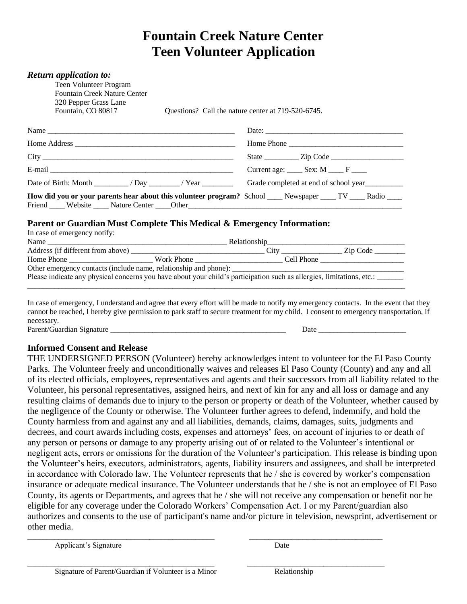## **Fountain Creek Nature Center Teen Volunteer Application**

| <b>Return application to:</b><br>Teen Volunteer Program<br><b>Fountain Creek Nature Center</b><br>320 Pepper Grass Lane<br>Fountain, CO 80817 |                  | Questions? Call the nature center at 719-520-6745. |                                       |
|-----------------------------------------------------------------------------------------------------------------------------------------------|------------------|----------------------------------------------------|---------------------------------------|
|                                                                                                                                               |                  |                                                    |                                       |
|                                                                                                                                               |                  |                                                    |                                       |
|                                                                                                                                               |                  |                                                    |                                       |
|                                                                                                                                               |                  | Current age:  Sex: M   F                           |                                       |
| Date of Birth: Month $\frac{1}{\sqrt{2\pi}}$ / Day $\frac{1}{\sqrt{2\pi}}$ / Year $\frac{1}{\sqrt{2\pi}}$                                     |                  |                                                    | Grade completed at end of school year |
| How did you or your parents hear about this volunteer program? School _____ Newspaper _____ TV _____ Radio ____                               |                  |                                                    |                                       |
| Parent or Guardian Must Complete This Medical & Emergency Information:                                                                        |                  |                                                    |                                       |
| In case of emergency notify:                                                                                                                  |                  |                                                    |                                       |
|                                                                                                                                               |                  |                                                    |                                       |
| Address (if different from above)                                                                                                             | $\sum_{i=1}^{n}$ |                                                    | 7in Code                              |

| Address (if different from above)                                                                                     |              | City       | Zip Code |
|-----------------------------------------------------------------------------------------------------------------------|--------------|------------|----------|
| Home Phone                                                                                                            | Work Phone - | Cell Phone |          |
| Other emergency contacts (include name, relationship and phone):                                                      |              |            |          |
| Please indicate any physical concerns you have about your child's participation such as allergies, limitations, etc.: |              |            |          |

\_\_\_\_\_\_\_\_\_\_\_\_\_\_\_\_\_\_\_\_\_\_\_\_\_\_\_\_\_\_\_\_\_\_\_\_\_\_\_\_\_\_\_\_\_\_\_\_\_\_\_\_\_\_\_\_\_\_\_\_\_\_\_\_\_\_\_\_\_\_\_\_\_\_\_\_\_\_\_\_\_\_\_\_\_\_\_\_\_\_\_\_\_\_\_\_\_\_\_

In case of emergency, I understand and agree that every effort will be made to notify my emergency contacts. In the event that they cannot be reached, I hereby give permission to park staff to secure treatment for my child. I consent to emergency transportation, if necessary. Parent/Guardian Signature \_\_\_\_\_\_\_\_\_\_\_\_\_\_\_\_\_\_\_\_\_\_\_\_\_\_\_\_\_\_\_\_\_\_\_\_\_\_\_\_\_\_\_\_\_\_ Date \_\_\_\_\_\_\_\_\_\_\_\_\_\_\_\_\_\_\_\_\_\_\_

**Informed Consent and Release**

THE UNDERSIGNED PERSON (Volunteer) hereby acknowledges intent to volunteer for the El Paso County Parks. The Volunteer freely and unconditionally waives and releases El Paso County (County) and any and all of its elected officials, employees, representatives and agents and their successors from all liability related to the Volunteer, his personal representatives, assigned heirs, and next of kin for any and all loss or damage and any resulting claims of demands due to injury to the person or property or death of the Volunteer, whether caused by the negligence of the County or otherwise. The Volunteer further agrees to defend, indemnify, and hold the County harmless from and against any and all liabilities, demands, claims, damages, suits, judgments and decrees, and court awards including costs, expenses and attorneys' fees, on account of injuries to or death of any person or persons or damage to any property arising out of or related to the Volunteer's intentional or negligent acts, errors or omissions for the duration of the Volunteer's participation. This release is binding upon the Volunteer's heirs, executors, administrators, agents, liability insurers and assignees, and shall be interpreted in accordance with Colorado law. The Volunteer represents that he / she is covered by worker's compensation insurance or adequate medical insurance. The Volunteer understands that he / she is not an employee of El Paso County, its agents or Departments, and agrees that he / she will not receive any compensation or benefit nor be eligible for any coverage under the Colorado Workers' Compensation Act. I or my Parent/guardian also authorizes and consents to the use of participant's name and/or picture in television, newsprint, advertisement or other media.

\_\_\_\_\_\_\_\_\_\_\_\_\_\_\_\_\_\_\_\_\_\_\_\_\_\_\_\_\_\_\_\_\_\_\_\_\_\_\_\_\_\_\_\_\_\_\_\_\_ \_\_\_\_\_\_\_\_\_\_\_\_\_\_\_\_\_\_\_\_\_\_\_\_\_\_\_\_\_\_\_\_\_\_\_

\_\_\_\_\_\_\_\_\_\_\_\_\_\_\_\_\_\_\_\_\_\_\_\_\_\_\_\_\_\_\_\_\_\_\_\_\_\_\_\_\_\_\_\_\_\_\_\_\_ \_\_\_\_\_\_\_\_\_\_\_\_\_\_\_\_\_\_\_\_\_\_\_\_\_\_\_\_\_\_\_\_\_\_\_\_

Applicant's Signature Date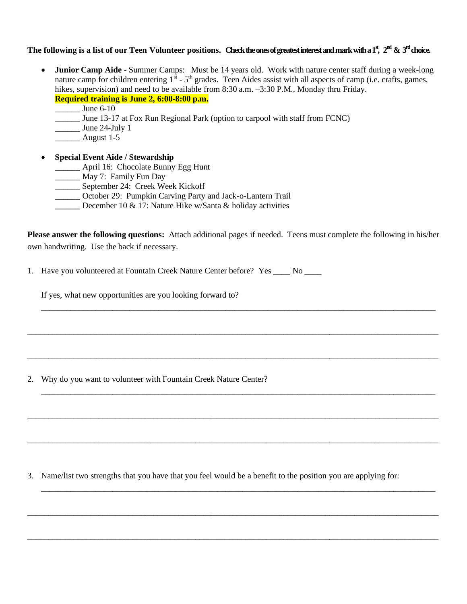## The <code>following</code> is a list of our Teen <code>Volunteer</code> positions. Check the ones of greatest interest and mark with a 1<sup>st</sup>, 2<sup>nd</sup> & 3<sup>rd</sup> choice.

- **Junior Camp Aide** Summer Camps: Must be 14 years old. Work with nature center staff during a week-long nature camp for children entering  $1^{st}$  -  $5^{th}$  grades. Teen Aides assist with all aspects of camp (i.e. crafts, games, hikes, supervision) and need to be available from 8:30 a.m.  $-3:30$  P.M., Monday thru Friday. **Required training is June 2, 6:00-8:00 p.m.**
	- \_\_\_\_\_\_ June 6-10
	- \_\_\_\_\_\_ June 13-17 at Fox Run Regional Park (option to carpool with staff from FCNC)
	- \_\_\_\_\_\_ June 24-July 1
	- \_\_\_\_\_\_ August 1-5

## • **Special Event Aide / Stewardship**

- \_\_\_\_\_\_ April 16: Chocolate Bunny Egg Hunt
- \_\_\_\_\_\_\_ May 7: Family Fun Day
- \_\_\_\_\_\_ September 24: Creek Week Kickoff
- \_\_\_\_\_\_ October 29: Pumpkin Carving Party and Jack-o-Lantern Trail
- **December 10 & 17: Nature Hike w/Santa & holiday activities**

**Please answer the following questions:** Attach additional pages if needed. Teens must complete the following in his/her own handwriting. Use the back if necessary.

\_\_\_\_\_\_\_\_\_\_\_\_\_\_\_\_\_\_\_\_\_\_\_\_\_\_\_\_\_\_\_\_\_\_\_\_\_\_\_\_\_\_\_\_\_\_\_\_\_\_\_\_\_\_\_\_\_\_\_\_\_\_\_\_\_\_\_\_\_\_\_\_\_\_\_\_\_\_\_\_\_\_\_\_\_\_\_\_\_\_\_\_\_\_

\_\_\_\_\_\_\_\_\_\_\_\_\_\_\_\_\_\_\_\_\_\_\_\_\_\_\_\_\_\_\_\_\_\_\_\_\_\_\_\_\_\_\_\_\_\_\_\_\_\_\_\_\_\_\_\_\_\_\_\_\_\_\_\_\_\_\_\_\_\_\_\_\_\_\_\_\_\_\_\_\_\_\_\_\_\_\_\_\_\_\_\_\_\_\_\_\_\_

\_\_\_\_\_\_\_\_\_\_\_\_\_\_\_\_\_\_\_\_\_\_\_\_\_\_\_\_\_\_\_\_\_\_\_\_\_\_\_\_\_\_\_\_\_\_\_\_\_\_\_\_\_\_\_\_\_\_\_\_\_\_\_\_\_\_\_\_\_\_\_\_\_\_\_\_\_\_\_\_\_\_\_\_\_\_\_\_\_\_\_\_\_\_\_\_\_\_

\_\_\_\_\_\_\_\_\_\_\_\_\_\_\_\_\_\_\_\_\_\_\_\_\_\_\_\_\_\_\_\_\_\_\_\_\_\_\_\_\_\_\_\_\_\_\_\_\_\_\_\_\_\_\_\_\_\_\_\_\_\_\_\_\_\_\_\_\_\_\_\_\_\_\_\_\_\_\_\_\_\_\_\_\_\_\_\_\_\_\_\_\_\_

\_\_\_\_\_\_\_\_\_\_\_\_\_\_\_\_\_\_\_\_\_\_\_\_\_\_\_\_\_\_\_\_\_\_\_\_\_\_\_\_\_\_\_\_\_\_\_\_\_\_\_\_\_\_\_\_\_\_\_\_\_\_\_\_\_\_\_\_\_\_\_\_\_\_\_\_\_\_\_\_\_\_\_\_\_\_\_\_\_\_\_\_\_\_\_\_\_\_

\_\_\_\_\_\_\_\_\_\_\_\_\_\_\_\_\_\_\_\_\_\_\_\_\_\_\_\_\_\_\_\_\_\_\_\_\_\_\_\_\_\_\_\_\_\_\_\_\_\_\_\_\_\_\_\_\_\_\_\_\_\_\_\_\_\_\_\_\_\_\_\_\_\_\_\_\_\_\_\_\_\_\_\_\_\_\_\_\_\_\_\_\_\_\_\_\_\_

\_\_\_\_\_\_\_\_\_\_\_\_\_\_\_\_\_\_\_\_\_\_\_\_\_\_\_\_\_\_\_\_\_\_\_\_\_\_\_\_\_\_\_\_\_\_\_\_\_\_\_\_\_\_\_\_\_\_\_\_\_\_\_\_\_\_\_\_\_\_\_\_\_\_\_\_\_\_\_\_\_\_\_\_\_\_\_\_\_\_\_\_\_\_

\_\_\_\_\_\_\_\_\_\_\_\_\_\_\_\_\_\_\_\_\_\_\_\_\_\_\_\_\_\_\_\_\_\_\_\_\_\_\_\_\_\_\_\_\_\_\_\_\_\_\_\_\_\_\_\_\_\_\_\_\_\_\_\_\_\_\_\_\_\_\_\_\_\_\_\_\_\_\_\_\_\_\_\_\_\_\_\_\_\_\_\_\_\_\_\_\_\_

\_\_\_\_\_\_\_\_\_\_\_\_\_\_\_\_\_\_\_\_\_\_\_\_\_\_\_\_\_\_\_\_\_\_\_\_\_\_\_\_\_\_\_\_\_\_\_\_\_\_\_\_\_\_\_\_\_\_\_\_\_\_\_\_\_\_\_\_\_\_\_\_\_\_\_\_\_\_\_\_\_\_\_\_\_\_\_\_\_\_\_\_\_\_\_\_\_\_

1. Have you volunteered at Fountain Creek Nature Center before? Yes \_\_\_\_ No \_\_\_\_

If yes, what new opportunities are you looking forward to?

2. Why do you want to volunteer with Fountain Creek Nature Center?

3. Name/list two strengths that you have that you feel would be a benefit to the position you are applying for: